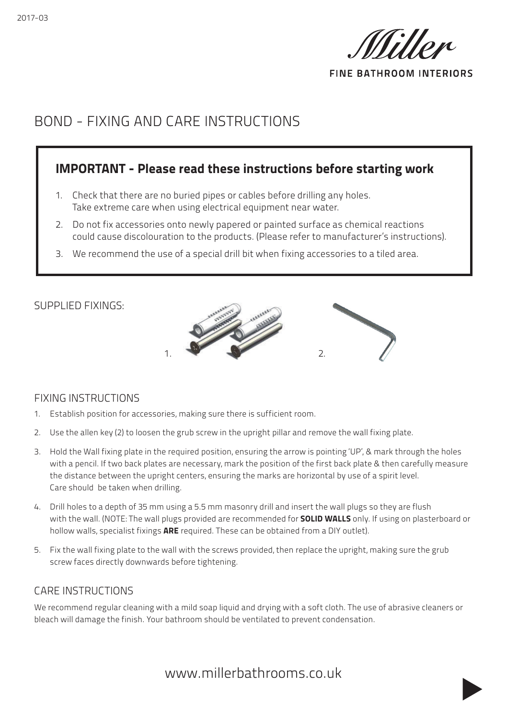

**FINE BATHROOM INTERIORS** 

# BOND - FIXING AND CARE INSTRUCTIONS

### IMPORTANT - Please read these instructions before starting work

- 1. Check that there are no buried pipes or cables before drilling any holes. Take extreme care when using electrical equipment near water.
- 2. Do not fix accessories onto newly papered or painted surface as chemical reactions could cause discolouration to the products. (Please refer to manufacturer's instructions).
- 3. We recommend the use of a special drill bit when fixing accessories to a tiled area.



#### FIXING INSTRUCTIONS

SUPPLIED FIXINGS:

- 1. Establish position for accessories, making sure there is sufficient room.
- 2. Use the allen key (2) to loosen the grub screw in the upright pillar and remove the wall fixing plate.
- 3. Hold the Wall fixing plate in the required position, ensuring the arrow is pointing 'UP', & mark through the holes with a pencil. If two back plates are necessary, mark the position of the first back plate & then carefully measure the distance between the upright centers, ensuring the marks are horizontal by use of a spirit level. Care should be taken when drilling.
- 4. Drill holes to a depth of 35 mm using a 5.5 mm masonry drill and insert the wall plugs so they are flush with the wall. (NOTE: The wall plugs provided are recommended for **SOLID WALLS** only. If using on plasterboard or hollow walls, specialist fixings **ARE** required. These can be obtained from a DIY outlet).
- 5. Fix the wall fixing plate to the wall with the screws provided, then replace the upright, making sure the grub screw faces directly downwards before tightening.

#### CARE INSTRUCTIONS

We recommend regular cleaning with a mild soap liquid and drying with a soft cloth. The use of abrasive cleaners or bleach will damage the finish. Your bathroom should be ventilated to prevent condensation.

www.millerbathrooms.co.uk